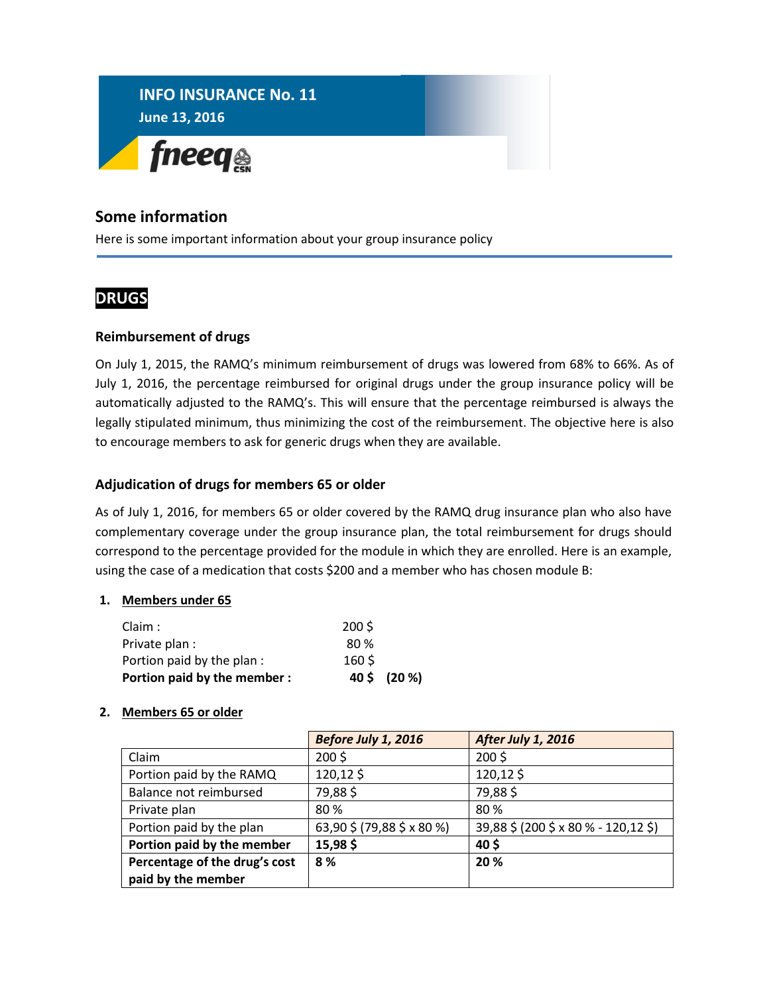

### **Some information**

Here is some important information about your group insurance policy

## **DRUGS**

#### **Reimbursement of drugs**

On July 1, 2015, the RAMQ's minimum reimbursement of drugs was lowered from 68% to 66%. As of July 1, 2016, the percentage reimbursed for original drugs under the group insurance policy will be automatically adjusted to the RAMQ's. This will ensure that the percentage reimbursed is always the legally stipulated minimum, thus minimizing the cost of the reimbursement. The objective here is also to encourage members to ask for generic drugs when they are available.

#### **Adjudication of drugs for members 65 or older**

As of July 1, 2016, for members 65 or older covered by the RAMQ drug insurance plan who also have complementary coverage under the group insurance plan, the total reimbursement for drugs should correspond to the percentage provided for the module in which they are enrolled. Here is an example, using the case of a medication that costs \$200 and a member who has chosen module B:

#### **1. Members under 65**

| Portion paid by the member: |                  | 40 \$ (20 %) |
|-----------------------------|------------------|--------------|
| Portion paid by the plan :  | 160 <sup>5</sup> |              |
| Private plan :              | 80 %             |              |
| Claim:                      | $200\sqrt{5}$    |              |

#### **2. Members 65 or older**

|                               | Before July 1, 2016        | <b>After July 1, 2016</b>            |
|-------------------------------|----------------------------|--------------------------------------|
| Claim                         | $200\sqrt{5}$              | $200\sqrt{5}$                        |
| Portion paid by the RAMQ      | 120,12\$                   | 120,12\$                             |
| Balance not reimbursed        | 79,88\$                    | 79,88\$                              |
| Private plan                  | 80%                        | 80 %                                 |
| Portion paid by the plan      | 63,90 \$ (79,88 \$ x 80 %) | 39,88 \$ (200 \$ x 80 % - 120,12 \$) |
| Portion paid by the member    | 15,98\$                    | 40 <sup>5</sup>                      |
| Percentage of the drug's cost | 8 %                        | 20 %                                 |
| paid by the member            |                            |                                      |